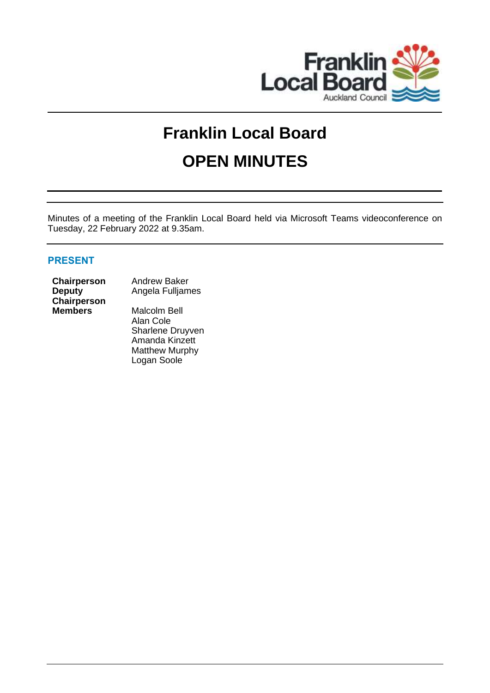

# **Franklin Local Board OPEN MINUTES**

Minutes of a meeting of the Franklin Local Board held via Microsoft Teams videoconference on Tuesday, 22 February 2022 at 9.35am.

# **PRESENT**

**Deputy Chairperson**

**Chairperson** Andrew Baker Angela Fulljames

> **Malcolm Bell** Alan Cole Sharlene Druyven Amanda Kinzett Matthew Murphy Logan Soole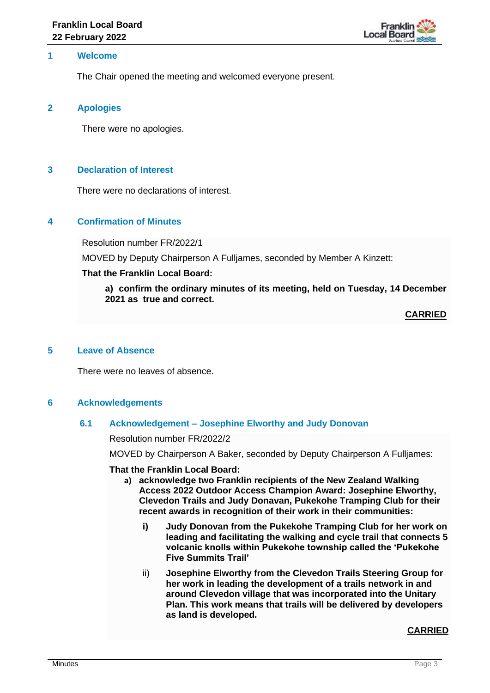

## **1 Welcome**

The Chair opened the meeting and welcomed everyone present.

#### **2 Apologies**

There were no apologies.

## **3 Declaration of Interest**

There were no declarations of interest.

## **4 Confirmation of Minutes**

Resolution number FR/2022/1

MOVED by Deputy Chairperson A Fulljames, seconded by Member A Kinzett:

#### **That the Franklin Local Board:**

**a) confirm the ordinary minutes of its meeting, held on Tuesday, 14 December 2021 as true and correct.**

**CARRIED**

## **5 Leave of Absence**

There were no leaves of absence.

#### **6 Acknowledgements**

#### **6.1 Acknowledgement – Josephine Elworthy and Judy Donovan**

Resolution number FR/2022/2

MOVED by Chairperson A Baker, seconded by Deputy Chairperson A Fulljames:

#### **That the Franklin Local Board:**

- **a) acknowledge two Franklin recipients of the New Zealand Walking Access 2022 Outdoor Access Champion Award: Josephine Elworthy, Clevedon Trails and Judy Donavan, Pukekohe Tramping Club for their recent awards in recognition of their work in their communities:**
	- **i) Judy Donovan from the Pukekohe Tramping Club for her work on leading and facilitating the walking and cycle trail that connects 5 volcanic knolls within Pukekohe township called the 'Pukekohe Five Summits Trail'**
	- ii) **Josephine Elworthy from the Clevedon Trails Steering Group for her work in leading the development of a trails network in and around Clevedon village that was incorporated into the Unitary Plan. This work means that trails will be delivered by developers as land is developed.**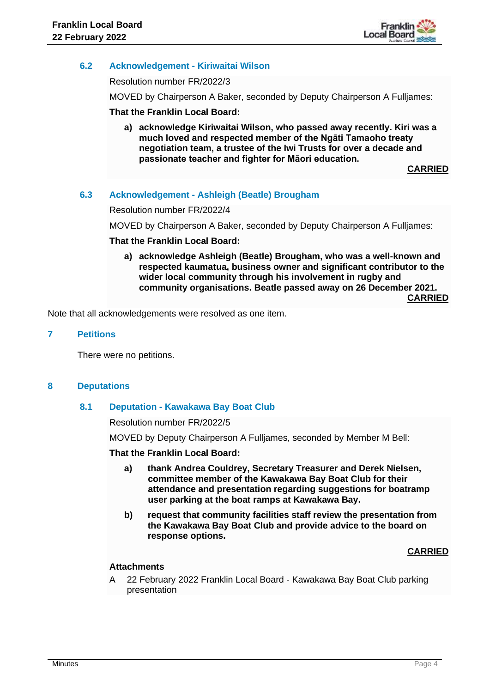

# **6.2 Acknowledgement - Kiriwaitai Wilson**

Resolution number FR/2022/3

MOVED by Chairperson A Baker, seconded by Deputy Chairperson A Fulljames:

## **That the Franklin Local Board:**

**a) acknowledge Kiriwaitai Wilson, who passed away recently. Kiri was a much loved and respected member of the Ngāti Tamaoho treaty negotiation team, a trustee of the Iwi Trusts for over a decade and passionate teacher and fighter for Māori education.**

**CARRIED**

## **6.3 Acknowledgement - Ashleigh (Beatle) Brougham**

Resolution number FR/2022/4

MOVED by Chairperson A Baker, seconded by Deputy Chairperson A Fulljames:

## **That the Franklin Local Board:**

**a) acknowledge Ashleigh (Beatle) Brougham, who was a well-known and respected kaumatua, business owner and significant contributor to the wider local community through his involvement in rugby and community organisations. Beatle passed away on 26 December 2021. CARRIED**

Note that all acknowledgements were resolved as one item.

#### **7 Petitions**

There were no petitions.

#### **8 Deputations**

#### **8.1 Deputation - Kawakawa Bay Boat Club**

Resolution number FR/2022/5

MOVED by Deputy Chairperson A Fulljames, seconded by Member M Bell:

#### **That the Franklin Local Board:**

- **a) thank Andrea Couldrey, Secretary Treasurer and Derek Nielsen, committee member of the Kawakawa Bay Boat Club for their attendance and presentation regarding suggestions for boatramp user parking at the boat ramps at Kawakawa Bay.**
- **b) request that community facilities staff review the presentation from the Kawakawa Bay Boat Club and provide advice to the board on response options.**

#### **CARRIED**

## **Attachments**

A 22 February 2022 Franklin Local Board - Kawakawa Bay Boat Club parking presentation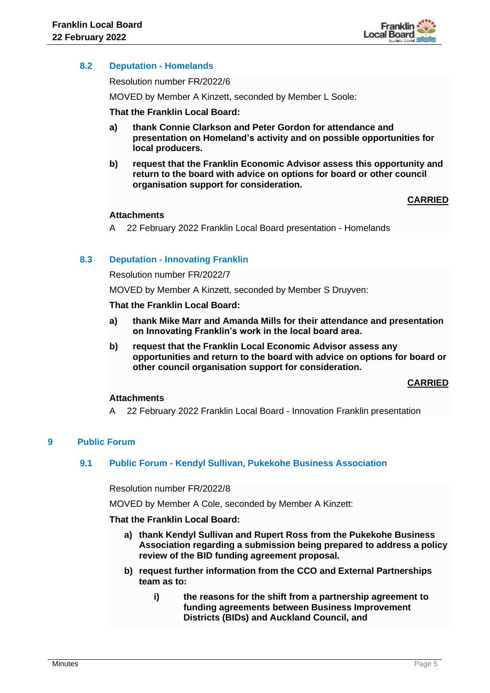

# **8.2 Deputation - Homelands**

Resolution number FR/2022/6

MOVED by Member A Kinzett, seconded by Member L Soole:

## **That the Franklin Local Board:**

- **a) thank Connie Clarkson and Peter Gordon for attendance and presentation on Homeland's activity and on possible opportunities for local producers.**
- **b) request that the Franklin Economic Advisor assess this opportunity and return to the board with advice on options for board or other council organisation support for consideration.**

**CARRIED**

## **Attachments**

A 22 February 2022 Franklin Local Board presentation - Homelands

## **8.3 Deputation - Innovating Franklin**

Resolution number FR/2022/7

MOVED by Member A Kinzett, seconded by Member S Druyven:

#### **That the Franklin Local Board:**

- **a) thank Mike Marr and Amanda Mills for their attendance and presentation on Innovating Franklin's work in the local board area.**
- **b) request that the Franklin Local Economic Advisor assess any opportunities and return to the board with advice on options for board or other council organisation support for consideration.**

#### **CARRIED**

#### **Attachments**

A 22 February 2022 Franklin Local Board - Innovation Franklin presentation

## **9 Public Forum**

#### **9.1 Public Forum - Kendyl Sullivan, Pukekohe Business Association**

Resolution number FR/2022/8

MOVED by Member A Cole, seconded by Member A Kinzett:

## **That the Franklin Local Board:**

- **a) thank Kendyl Sullivan and Rupert Ross from the Pukekohe Business Association regarding a submission being prepared to address a policy review of the BID funding agreement proposal.**
- **b) request further information from the CCO and External Partnerships team as to:**
	- **i) the reasons for the shift from a partnership agreement to funding agreements between Business Improvement Districts (BIDs) and Auckland Council, and**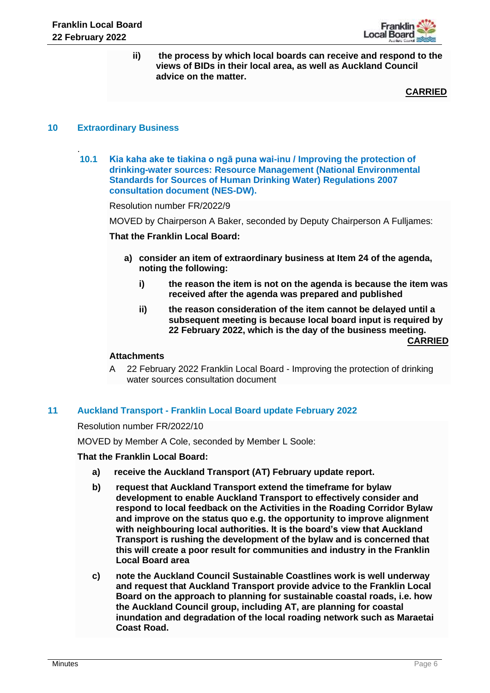

**ii) the process by which local boards can receive and respond to the views of BIDs in their local area, as well as Auckland Council advice on the matter.**

**CARRIED**

## **10 Extraordinary Business**

.

**10.1 Kia kaha ake te tiakina o ngā puna wai-inu / Improving the protection of drinking-water sources: Resource Management (National Environmental Standards for Sources of Human Drinking Water) Regulations 2007 consultation document (NES-DW).**

Resolution number FR/2022/9

MOVED by Chairperson A Baker, seconded by Deputy Chairperson A Fulljames:

**That the Franklin Local Board:**

- **a) consider an item of extraordinary business at Item 24 of the agenda, noting the following:**
	- **i) the reason the item is not on the agenda is because the item was received after the agenda was prepared and published**
	- **ii) the reason consideration of the item cannot be delayed until a subsequent meeting is because local board input is required by 22 February 2022, which is the day of the business meeting. CARRIED**

#### **Attachments**

A 22 February 2022 Franklin Local Board - Improving the protection of drinking water sources consultation document

# **11 Auckland Transport - Franklin Local Board update February 2022**

Resolution number FR/2022/10

MOVED by Member A Cole, seconded by Member L Soole:

#### **That the Franklin Local Board:**

- **a) receive the Auckland Transport (AT) February update report.**
- **b) request that Auckland Transport extend the timeframe for bylaw development to enable Auckland Transport to effectively consider and respond to local feedback on the Activities in the Roading Corridor Bylaw and improve on the status quo e.g. the opportunity to improve alignment with neighbouring local authorities. It is the board's view that Auckland Transport is rushing the development of the bylaw and is concerned that this will create a poor result for communities and industry in the Franklin Local Board area**
- **c) note the Auckland Council Sustainable Coastlines work is well underway and request that Auckland Transport provide advice to the Franklin Local Board on the approach to planning for sustainable coastal roads, i.e. how the Auckland Council group, including AT, are planning for coastal inundation and degradation of the local roading network such as Maraetai Coast Road.**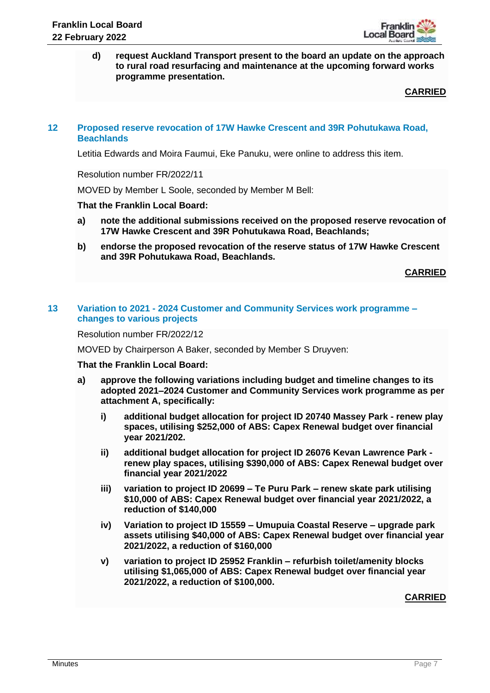

**d) request Auckland Transport present to the board an update on the approach to rural road resurfacing and maintenance at the upcoming forward works programme presentation.**

**CARRIED**

#### **12 Proposed reserve revocation of 17W Hawke Crescent and 39R Pohutukawa Road, Beachlands**

Letitia Edwards and Moira Faumui, Eke Panuku, were online to address this item.

Resolution number FR/2022/11

MOVED by Member L Soole, seconded by Member M Bell:

**That the Franklin Local Board:**

- **a) note the additional submissions received on the proposed reserve revocation of 17W Hawke Crescent and 39R Pohutukawa Road, Beachlands;**
- **b) endorse the proposed revocation of the reserve status of 17W Hawke Crescent and 39R Pohutukawa Road, Beachlands.**

**CARRIED**

## **13 Variation to 2021 - 2024 Customer and Community Services work programme – changes to various projects**

Resolution number FR/2022/12

MOVED by Chairperson A Baker, seconded by Member S Druyven:

#### **That the Franklin Local Board:**

- **a) approve the following variations including budget and timeline changes to its adopted 2021–2024 Customer and Community Services work programme as per attachment A, specifically:**
	- **i) additional budget allocation for project ID 20740 Massey Park - renew play spaces, utilising \$252,000 of ABS: Capex Renewal budget over financial year 2021/202.**
	- **ii) additional budget allocation for project ID 26076 Kevan Lawrence Park renew play spaces, utilising \$390,000 of ABS: Capex Renewal budget over financial year 2021/2022**
	- **iii) variation to project ID 20699 – Te Puru Park – renew skate park utilising \$10,000 of ABS: Capex Renewal budget over financial year 2021/2022, a reduction of \$140,000**
	- **iv) Variation to project ID 15559 – Umupuia Coastal Reserve – upgrade park assets utilising \$40,000 of ABS: Capex Renewal budget over financial year 2021/2022, a reduction of \$160,000**
	- **v) variation to project ID 25952 Franklin – refurbish toilet/amenity blocks utilising \$1,065,000 of ABS: Capex Renewal budget over financial year 2021/2022, a reduction of \$100,000.**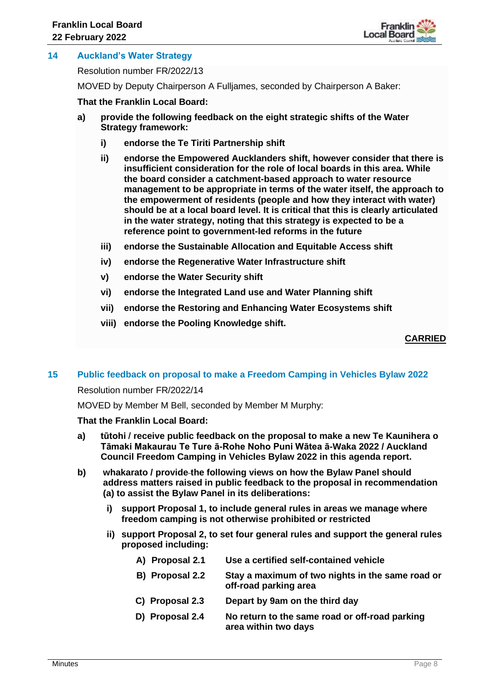

## **14 Auckland's Water Strategy**

Resolution number FR/2022/13

MOVED by Deputy Chairperson A Fulljames, seconded by Chairperson A Baker:

**That the Franklin Local Board:**

- **a) provide the following feedback on the eight strategic shifts of the Water Strategy framework:** 
	- **i) endorse the Te Tiriti Partnership shift**
	- **ii) endorse the Empowered Aucklanders shift, however consider that there is insufficient consideration for the role of local boards in this area. While the board consider a catchment-based approach to water resource management to be appropriate in terms of the water itself, the approach to the empowerment of residents (people and how they interact with water) should be at a local board level. It is critical that this is clearly articulated in the water strategy, noting that this strategy is expected to be a reference point to government-led reforms in the future**
	- **iii) endorse the Sustainable Allocation and Equitable Access shift**
	- **iv) endorse the Regenerative Water Infrastructure shift**
	- **v) endorse the Water Security shift**
	- **vi) endorse the Integrated Land use and Water Planning shift**
	- **vii) endorse the Restoring and Enhancing Water Ecosystems shift**
	- **viii) endorse the Pooling Knowledge shift.**

## **CARRIED**

#### **15 Public feedback on proposal to make a Freedom Camping in Vehicles Bylaw 2022**

Resolution number FR/2022/14

MOVED by Member M Bell, seconded by Member M Murphy:

#### **That the Franklin Local Board:**

- **a) tūtohi / receive public feedback on the proposal to make a new Te Kaunihera o Tāmaki Makaurau Te Ture ā-Rohe Noho Puni Wātea ā-Waka 2022 / Auckland Council Freedom Camping in Vehicles Bylaw 2022 in this agenda report.**
- **b) whakarato / provide the following views on how the Bylaw Panel should address matters raised in public feedback to the proposal in recommendation (a) to assist the Bylaw Panel in its deliberations:**
	- **i) support Proposal 1, to include general rules in areas we manage where freedom camping is not otherwise prohibited or restricted**
	- **ii) support Proposal 2, to set four general rules and support the general rules proposed including:**
		- **A) Proposal 2.1 Use a certified self-contained vehicle B) Proposal 2.2 Stay a maximum of two nights in the same road or off-road parking area C) Proposal 2.3 Depart by 9am on the third day D) Proposal 2.4 No return to the same road or off-road parking area within two days**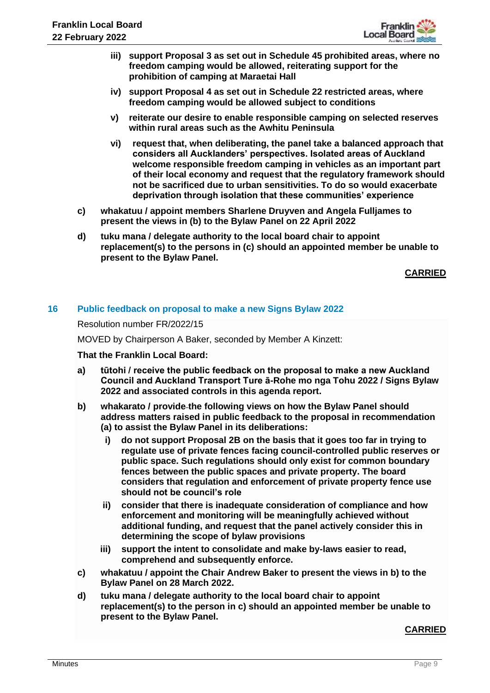

- **iii) support Proposal 3 as set out in Schedule 45 prohibited areas, where no freedom camping would be allowed, reiterating support for the prohibition of camping at Maraetai Hall**
- **iv) support Proposal 4 as set out in Schedule 22 restricted areas, where freedom camping would be allowed subject to conditions**
- **v) reiterate our desire to enable responsible camping on selected reserves within rural areas such as the Awhitu Peninsula**
- **vi) request that, when deliberating, the panel take a balanced approach that considers all Aucklanders' perspectives. Isolated areas of Auckland welcome responsible freedom camping in vehicles as an important part of their local economy and request that the regulatory framework should not be sacrificed due to urban sensitivities. To do so would exacerbate deprivation through isolation that these communities' experience**
- **c) whakatuu / appoint members Sharlene Druyven and Angela Fulljames to present the views in (b) to the Bylaw Panel on 22 April 2022**
- **d) tuku mana / delegate authority to the local board chair to appoint replacement(s) to the persons in (c) should an appointed member be unable to present to the Bylaw Panel.**

**CARRIED**

# **16 Public feedback on proposal to make a new Signs Bylaw 2022**

Resolution number FR/2022/15

MOVED by Chairperson A Baker, seconded by Member A Kinzett:

#### **That the Franklin Local Board:**

- **a) tūtohi / receive the public feedback on the proposal to make a new Auckland Council and Auckland Transport Ture ā-Rohe mo nga Tohu 2022 / Signs Bylaw 2022 and associated controls in this agenda report.**
- **b) whakarato / provide the following views on how the Bylaw Panel should address matters raised in public feedback to the proposal in recommendation (a) to assist the Bylaw Panel in its deliberations:** 
	- **i) do not support Proposal 2B on the basis that it goes too far in trying to regulate use of private fences facing council-controlled public reserves or public space. Such regulations should only exist for common boundary fences between the public spaces and private property. The board considers that regulation and enforcement of private property fence use should not be council's role**
	- **ii) consider that there is inadequate consideration of compliance and how enforcement and monitoring will be meaningfully achieved without additional funding, and request that the panel actively consider this in determining the scope of bylaw provisions**
	- **iii) support the intent to consolidate and make by-laws easier to read, comprehend and subsequently enforce.**
- **c) whakatuu / appoint the Chair Andrew Baker to present the views in b) to the Bylaw Panel on 28 March 2022.**
- **d) tuku mana / delegate authority to the local board chair to appoint replacement(s) to the person in c) should an appointed member be unable to present to the Bylaw Panel.**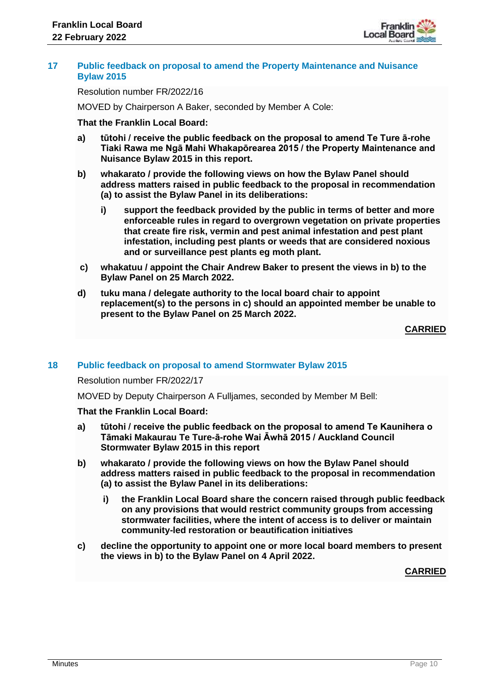

#### **17 Public feedback on proposal to amend the Property Maintenance and Nuisance Bylaw 2015**

Resolution number FR/2022/16

MOVED by Chairperson A Baker, seconded by Member A Cole:

## **That the Franklin Local Board:**

- **a) tūtohi / receive the public feedback on the proposal to amend Te Ture ā-rohe Tiaki Rawa me Ngā Mahi Whakapōrearea 2015 / the Property Maintenance and Nuisance Bylaw 2015 in this report.**
- **b) whakarato / provide the following views on how the Bylaw Panel should address matters raised in public feedback to the proposal in recommendation (a) to assist the Bylaw Panel in its deliberations:** 
	- **i) support the feedback provided by the public in terms of better and more enforceable rules in regard to overgrown vegetation on private properties that create fire risk, vermin and pest animal infestation and pest plant infestation, including pest plants or weeds that are considered noxious and or surveillance pest plants eg moth plant.**
- **c) whakatuu / appoint the Chair Andrew Baker to present the views in b) to the Bylaw Panel on 25 March 2022.**
- **d) tuku mana / delegate authority to the local board chair to appoint replacement(s) to the persons in c) should an appointed member be unable to present to the Bylaw Panel on 25 March 2022.**

## **CARRIED**

#### **18 Public feedback on proposal to amend Stormwater Bylaw 2015**

Resolution number FR/2022/17

MOVED by Deputy Chairperson A Fulljames, seconded by Member M Bell:

#### **That the Franklin Local Board:**

- **a) tūtohi / receive the public feedback on the proposal to amend Te Kaunihera o Tāmaki Makaurau Te Ture-ā-rohe Wai Āwhā 2015 / Auckland Council Stormwater Bylaw 2015 in this report**
- **b) whakarato / provide the following views on how the Bylaw Panel should address matters raised in public feedback to the proposal in recommendation (a) to assist the Bylaw Panel in its deliberations:** 
	- **i) the Franklin Local Board share the concern raised through public feedback on any provisions that would restrict community groups from accessing stormwater facilities, where the intent of access is to deliver or maintain community-led restoration or beautification initiatives**
- **c) decline the opportunity to appoint one or more local board members to present the views in b) to the Bylaw Panel on 4 April 2022.**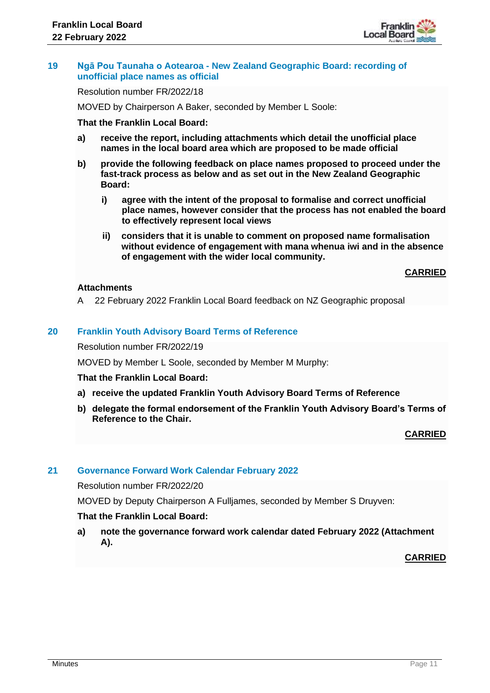

## **19 Ngā Pou Taunaha o Aotearoa - New Zealand Geographic Board: recording of unofficial place names as official**

Resolution number FR/2022/18

MOVED by Chairperson A Baker, seconded by Member L Soole:

#### **That the Franklin Local Board:**

- **a) receive the report, including attachments which detail the unofficial place names in the local board area which are proposed to be made official**
- **b) provide the following feedback on place names proposed to proceed under the fast-track process as below and as set out in the New Zealand Geographic Board:** 
	- **i) agree with the intent of the proposal to formalise and correct unofficial place names, however consider that the process has not enabled the board to effectively represent local views**
	- **ii) considers that it is unable to comment on proposed name formalisation without evidence of engagement with mana whenua iwi and in the absence of engagement with the wider local community.**

**CARRIED**

# **Attachments**

A 22 February 2022 Franklin Local Board feedback on NZ Geographic proposal

## **20 Franklin Youth Advisory Board Terms of Reference**

Resolution number FR/2022/19

MOVED by Member L Soole, seconded by Member M Murphy:

#### **That the Franklin Local Board:**

- **a) receive the updated Franklin Youth Advisory Board Terms of Reference**
- **b) delegate the formal endorsement of the Franklin Youth Advisory Board's Terms of Reference to the Chair.**

**CARRIED**

## **21 Governance Forward Work Calendar February 2022**

Resolution number FR/2022/20

MOVED by Deputy Chairperson A Fulljames, seconded by Member S Druyven:

## **That the Franklin Local Board:**

**a) note the governance forward work calendar dated February 2022 (Attachment A).**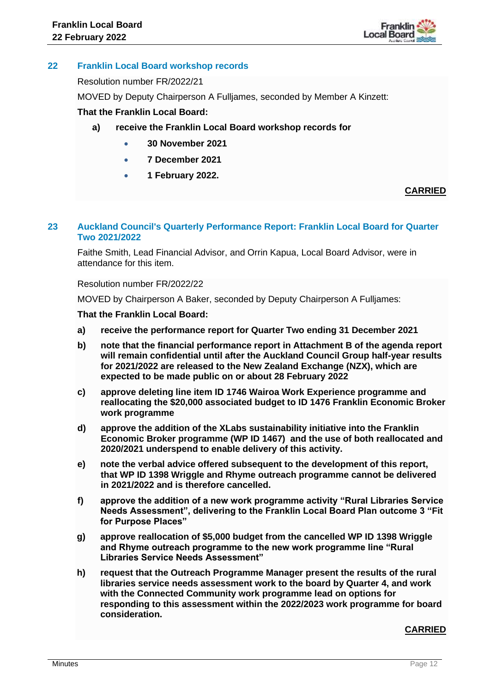

# **22 Franklin Local Board workshop records**

Resolution number FR/2022/21

MOVED by Deputy Chairperson A Fulljames, seconded by Member A Kinzett:

## **That the Franklin Local Board:**

- **a) receive the Franklin Local Board workshop records for** 
	- **30 November 2021**
	- **7 December 2021**
	- **1 February 2022.**

# **CARRIED**

## **23 Auckland Council's Quarterly Performance Report: Franklin Local Board for Quarter Two 2021/2022**

Faithe Smith, Lead Financial Advisor, and Orrin Kapua, Local Board Advisor, were in attendance for this item.

#### Resolution number FR/2022/22

MOVED by Chairperson A Baker, seconded by Deputy Chairperson A Fulljames:

## **That the Franklin Local Board:**

- **a) receive the performance report for Quarter Two ending 31 December 2021**
- **b) note that the financial performance report in Attachment B of the agenda report will remain confidential until after the Auckland Council Group half-year results for 2021/2022 are released to the New Zealand Exchange (NZX), which are expected to be made public on or about 28 February 2022**
- **c) approve deleting line item ID 1746 Wairoa Work Experience programme and reallocating the \$20,000 associated budget to ID 1476 Franklin Economic Broker work programme**
- **d) approve the addition of the XLabs sustainability initiative into the Franklin Economic Broker programme (WP ID 1467) and the use of both reallocated and 2020/2021 underspend to enable delivery of this activity.**
- **e) note the verbal advice offered subsequent to the development of this report, that WP ID 1398 Wriggle and Rhyme outreach programme cannot be delivered in 2021/2022 and is therefore cancelled.**
- **f) approve the addition of a new work programme activity "Rural Libraries Service Needs Assessment", delivering to the Franklin Local Board Plan outcome 3 "Fit for Purpose Places"**
- **g) approve reallocation of \$5,000 budget from the cancelled WP ID 1398 Wriggle and Rhyme outreach programme to the new work programme line "Rural Libraries Service Needs Assessment"**
- **h) request that the Outreach Programme Manager present the results of the rural libraries service needs assessment work to the board by Quarter 4, and work with the Connected Community work programme lead on options for responding to this assessment within the 2022/2023 work programme for board consideration.**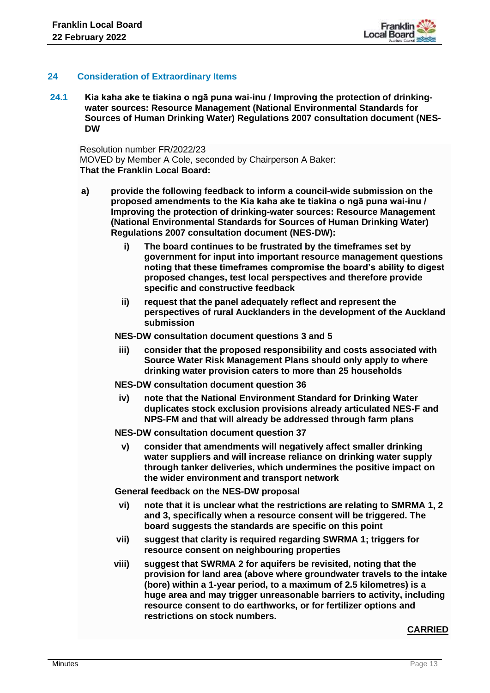## **24 Consideration of Extraordinary Items**

**24.1 Kia kaha ake te tiakina o ngā puna wai-inu / Improving the protection of drinkingwater sources: Resource Management (National Environmental Standards for Sources of Human Drinking Water) Regulations 2007 consultation document (NES-DW**

Resolution number FR/2022/23 MOVED by Member A Cole, seconded by Chairperson A Baker: **That the Franklin Local Board:**

- **a) provide the following feedback to inform a council-wide submission on the proposed amendments to the Kia kaha ake te tiakina o ngā puna wai-inu / Improving the protection of drinking-water sources: Resource Management (National Environmental Standards for Sources of Human Drinking Water) Regulations 2007 consultation document (NES-DW):**
	- **i) The board continues to be frustrated by the timeframes set by government for input into important resource management questions noting that these timeframes compromise the board's ability to digest proposed changes, test local perspectives and therefore provide specific and constructive feedback**
	- **ii) request that the panel adequately reflect and represent the perspectives of rural Aucklanders in the development of the Auckland submission**

**NES-DW consultation document questions 3 and 5**

**iii) consider that the proposed responsibility and costs associated with Source Water Risk Management Plans should only apply to where drinking water provision caters to more than 25 households** 

**NES-DW consultation document question 36**

**iv) note that the National Environment Standard for Drinking Water duplicates stock exclusion provisions already articulated NES-F and NPS-FM and that will already be addressed through farm plans** 

**NES-DW consultation document question 37**

**v) consider that amendments will negatively affect smaller drinking water suppliers and will increase reliance on drinking water supply through tanker deliveries, which undermines the positive impact on the wider environment and transport network**

**General feedback on the NES-DW proposal**

- **vi) note that it is unclear what the restrictions are relating to SMRMA 1, 2 and 3, specifically when a resource consent will be triggered. The board suggests the standards are specific on this point**
- **vii) suggest that clarity is required regarding SWRMA 1; triggers for resource consent on neighbouring properties**
- **viii) suggest that SWRMA 2 for aquifers be revisited, noting that the provision for land area (above where groundwater travels to the intake (bore) within a 1-year period, to a maximum of 2.5 kilometres) is a huge area and may trigger unreasonable barriers to activity, including resource consent to do earthworks, or for fertilizer options and restrictions on stock numbers.**